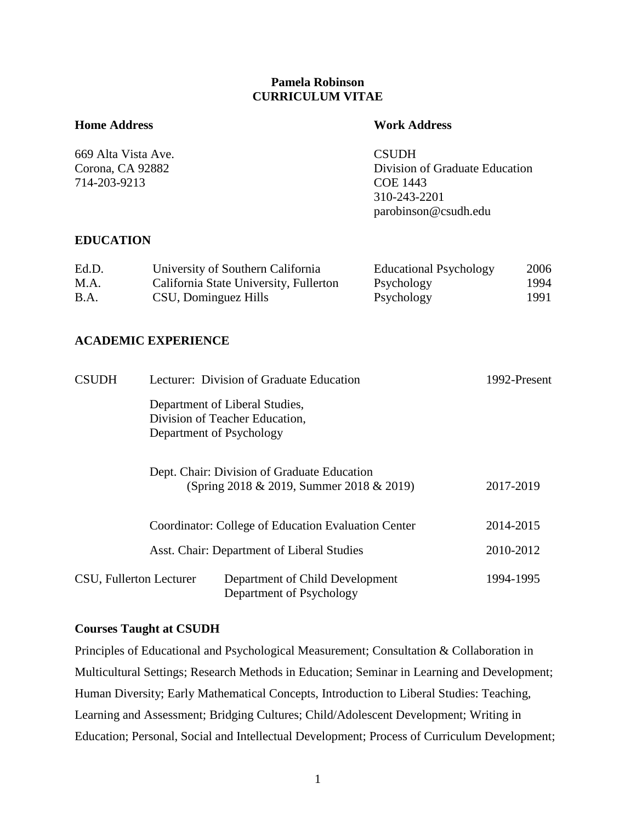## **Pamela Robinson CURRICULUM VITAE**

## **Home Address Work Address**

| 669 Alta Vista Ave. | <b>CSUDH</b>                   |  |
|---------------------|--------------------------------|--|
| Corona, CA 92882    | Division of Graduate Education |  |
| 714-203-9213        | COE 1443                       |  |
|                     | 310-243-2201                   |  |
|                     | parobinson@csudh.edu           |  |

## **EDUCATION**

| Ed.D. | University of Southern California      | <b>Educational Psychology</b> | 2006 |
|-------|----------------------------------------|-------------------------------|------|
| M.A.  | California State University, Fullerton | Psychology                    | 1994 |
| B.A.  | CSU, Dominguez Hills                   | Psychology                    | 1991 |

## **ACADEMIC EXPERIENCE**

| <b>CSUDH</b>                                        |                         | Lecturer: Division of Graduate Education                                                     | 1992-Present |  |
|-----------------------------------------------------|-------------------------|----------------------------------------------------------------------------------------------|--------------|--|
|                                                     |                         | Department of Liberal Studies,<br>Division of Teacher Education,<br>Department of Psychology |              |  |
|                                                     |                         | Dept. Chair: Division of Graduate Education<br>(Spring 2018 & 2019, Summer 2018 & 2019)      | 2017-2019    |  |
| Coordinator: College of Education Evaluation Center |                         | 2014-2015                                                                                    |              |  |
|                                                     |                         | Asst. Chair: Department of Liberal Studies                                                   |              |  |
|                                                     | CSU, Fullerton Lecturer | Department of Child Development<br>Department of Psychology                                  | 1994-1995    |  |

## **Courses Taught at CSUDH**

Principles of Educational and Psychological Measurement; Consultation & Collaboration in Multicultural Settings; Research Methods in Education; Seminar in Learning and Development; Human Diversity; Early Mathematical Concepts, Introduction to Liberal Studies: Teaching, Learning and Assessment; Bridging Cultures; Child/Adolescent Development; Writing in Education; Personal, Social and Intellectual Development; Process of Curriculum Development;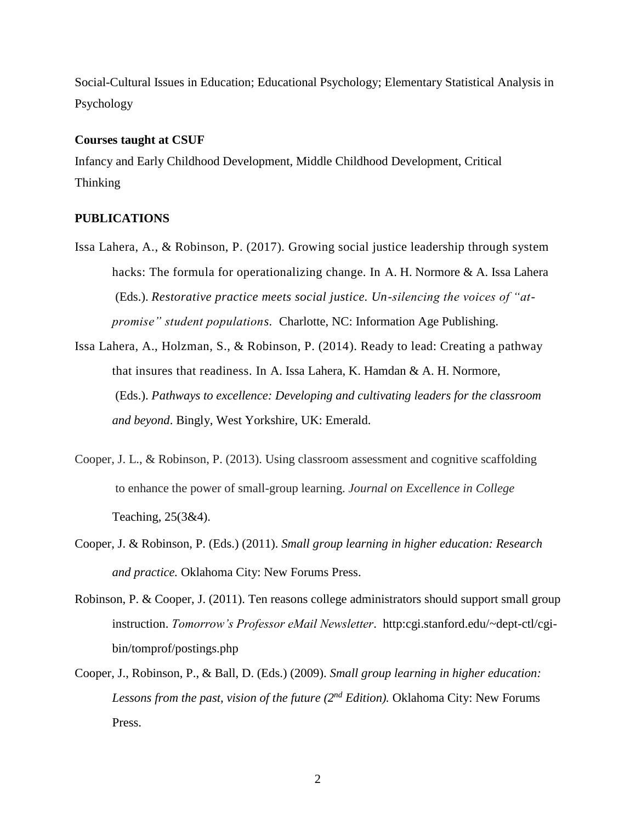Social-Cultural Issues in Education; Educational Psychology; Elementary Statistical Analysis in Psychology

### **Courses taught at CSUF**

Infancy and Early Childhood Development, Middle Childhood Development, Critical Thinking

## **PUBLICATIONS**

- Issa Lahera, A., & Robinson, P. (2017). Growing social justice leadership through system hacks: The formula for operationalizing change. In A. H. Normore & A. Issa Lahera (Eds.). *Restorative practice meets social justice. Un-silencing the voices of "atpromise" student populations.* Charlotte, NC: Information Age Publishing.
- Issa Lahera, A., Holzman, S., & Robinson, P. (2014). Ready to lead: Creating a pathway that insures that readiness. In A. Issa Lahera, K. Hamdan & A. H. Normore, (Eds.). *Pathways to excellence: Developing and cultivating leaders for the classroom and beyond*. Bingly, West Yorkshire, UK: Emerald.
- Cooper, J. L., & Robinson, P. (2013). Using classroom assessment and cognitive scaffolding to enhance the power of small-group learning. *Journal on Excellence in College* Teaching, 25(3&4).
- Cooper, J. & Robinson, P. (Eds.) (2011). *Small group learning in higher education: Research and practice.* Oklahoma City: New Forums Press.
- Robinson, P. & Cooper, J. (2011). Ten reasons college administrators should support small group instruction. *Tomorrow's Professor eMail Newsletter*. http:cgi.stanford.edu/~dept-ctl/cgibin/tomprof/postings.php
- Cooper, J., Robinson, P., & Ball, D. (Eds.) (2009). *Small group learning in higher education: Lessons from the past, vision of the future (2nd Edition).* Oklahoma City: New Forums Press.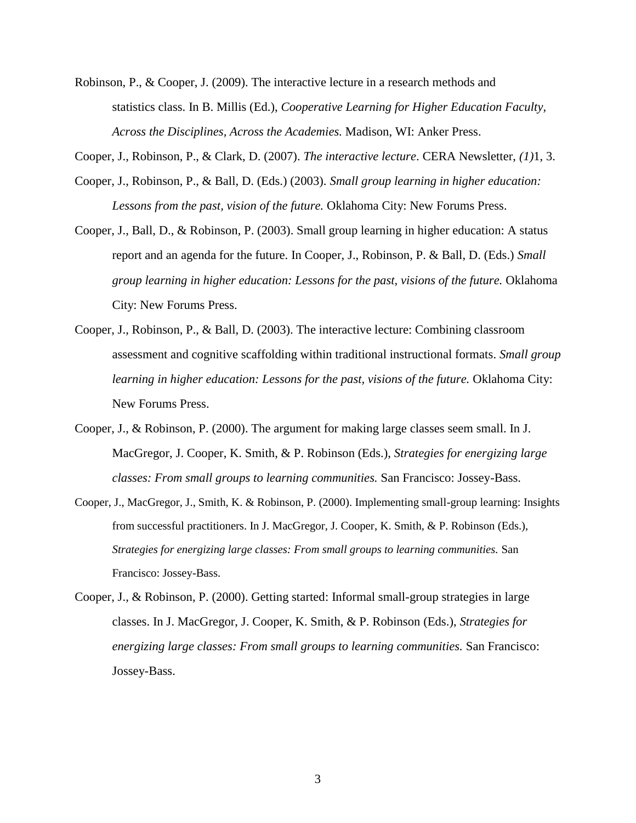- Robinson, P., & Cooper, J. (2009). The interactive lecture in a research methods and statistics class. In B. Millis (Ed.), *Cooperative Learning for Higher Education Faculty, Across the Disciplines, Across the Academies.* Madison, WI: Anker Press.
- Cooper, J., Robinson, P., & Clark, D. (2007). *The interactive lecture*. CERA Newsletter, *(1)*1, 3.
- Cooper, J., Robinson, P., & Ball, D. (Eds.) (2003). *Small group learning in higher education: Lessons from the past, vision of the future.* Oklahoma City: New Forums Press.
- Cooper, J., Ball, D., & Robinson, P. (2003). Small group learning in higher education: A status report and an agenda for the future. In Cooper, J., Robinson, P. & Ball, D. (Eds.) *Small group learning in higher education: Lessons for the past, visions of the future.* Oklahoma City: New Forums Press.
- Cooper, J., Robinson, P., & Ball, D. (2003). The interactive lecture: Combining classroom assessment and cognitive scaffolding within traditional instructional formats. *Small group learning in higher education: Lessons for the past, visions of the future.* Oklahoma City: New Forums Press.
- Cooper, J., & Robinson, P. (2000). The argument for making large classes seem small. In J. MacGregor, J. Cooper, K. Smith, & P. Robinson (Eds.), *Strategies for energizing large classes: From small groups to learning communities.* San Francisco: Jossey-Bass.
- Cooper, J., MacGregor, J., Smith, K. & Robinson, P. (2000). Implementing small-group learning: Insights from successful practitioners. In J. MacGregor, J. Cooper, K. Smith, & P. Robinson (Eds.), *Strategies for energizing large classes: From small groups to learning communities.* San Francisco: Jossey-Bass.
- Cooper, J., & Robinson, P. (2000). Getting started: Informal small-group strategies in large classes. In J. MacGregor, J. Cooper, K. Smith, & P. Robinson (Eds.), *Strategies for energizing large classes: From small groups to learning communities.* San Francisco: Jossey-Bass.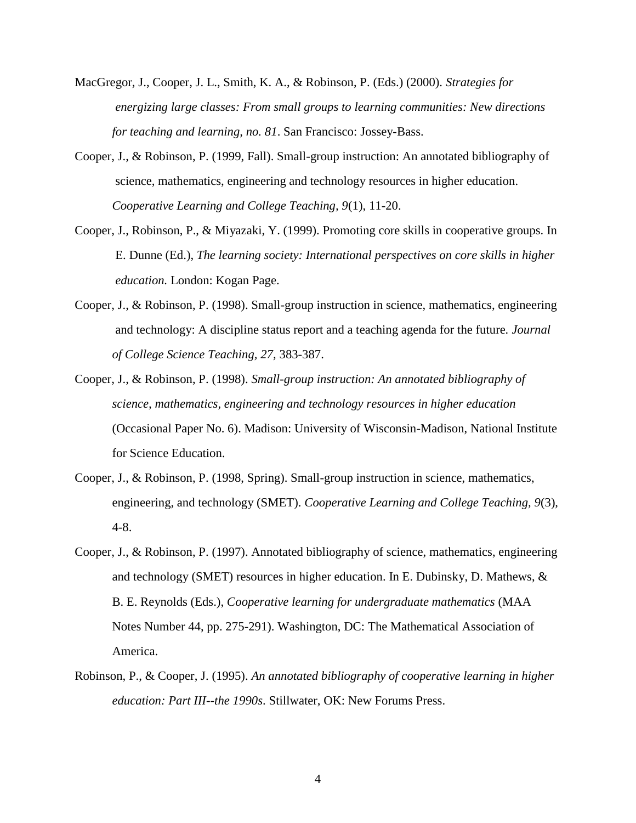- MacGregor, J., Cooper, J. L., Smith, K. A., & Robinson, P. (Eds.) (2000). *Strategies for energizing large classes: From small groups to learning communities: New directions for teaching and learning, no. 81*. San Francisco: Jossey-Bass.
- Cooper, J., & Robinson, P. (1999, Fall). Small-group instruction: An annotated bibliography of science, mathematics, engineering and technology resources in higher education. *Cooperative Learning and College Teaching, 9*(1), 11-20.
- Cooper, J., Robinson, P., & Miyazaki, Y. (1999). Promoting core skills in cooperative groups. In E. Dunne (Ed.), *The learning society: International perspectives on core skills in higher education.* London: Kogan Page.
- Cooper, J., & Robinson, P. (1998). Small-group instruction in science, mathematics, engineering and technology: A discipline status report and a teaching agenda for the future*. Journal of College Science Teaching, 27,* 383-387.
- Cooper, J., & Robinson, P. (1998). *Small-group instruction: An annotated bibliography of science, mathematics, engineering and technology resources in higher education* (Occasional Paper No. 6). Madison: University of Wisconsin-Madison, National Institute for Science Education.
- Cooper, J., & Robinson, P. (1998, Spring). Small-group instruction in science, mathematics, engineering, and technology (SMET). *Cooperative Learning and College Teaching, 9*(3)*,* 4-8.
- Cooper, J., & Robinson, P. (1997). Annotated bibliography of science, mathematics, engineering and technology (SMET) resources in higher education. In E. Dubinsky, D. Mathews, & B. E. Reynolds (Eds.), *Cooperative learning for undergraduate mathematics* (MAA Notes Number 44, pp. 275-291). Washington, DC: The Mathematical Association of America.
- Robinson, P., & Cooper, J. (1995). *An annotated bibliography of cooperative learning in higher education: Part III--the 1990s*. Stillwater, OK: New Forums Press.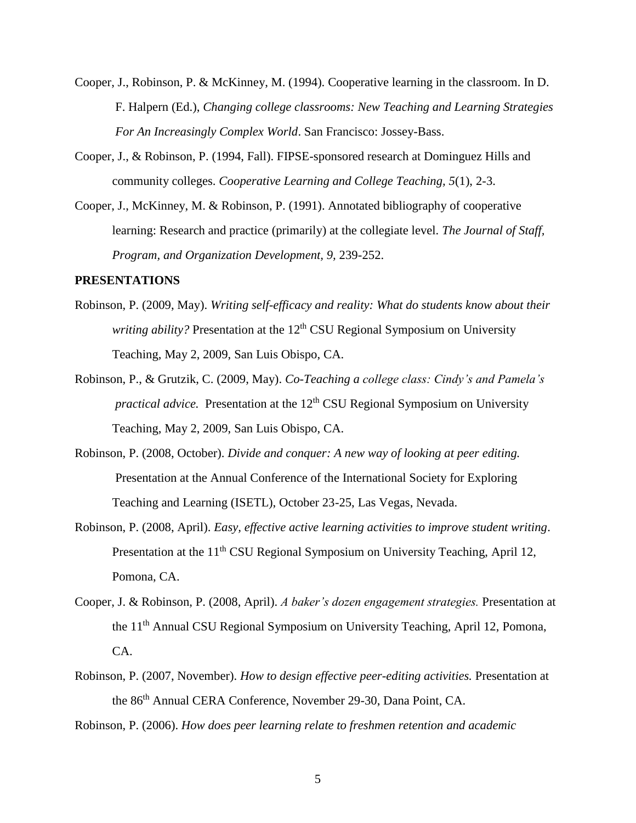- Cooper, J., Robinson, P. & McKinney, M. (1994). Cooperative learning in the classroom. In D. F. Halpern (Ed.), *Changing college classrooms: New Teaching and Learning Strategies For An Increasingly Complex World*. San Francisco: Jossey-Bass.
- Cooper, J., & Robinson, P. (1994, Fall). FIPSE-sponsored research at Dominguez Hills and community colleges. *Cooperative Learning and College Teaching, 5*(1), 2-3.
- Cooper, J., McKinney, M. & Robinson, P. (1991). Annotated bibliography of cooperative learning: Research and practice (primarily) at the collegiate level. *The Journal of Staff, Program, and Organization Development, 9,* 239-252.

## **PRESENTATIONS**

- Robinson, P. (2009, May). *Writing self-efficacy and reality: What do students know about their* writing ability? Presentation at the 12<sup>th</sup> CSU Regional Symposium on University Teaching, May 2, 2009, San Luis Obispo, CA.
- Robinson, P., & Grutzik, C. (2009, May). *Co-Teaching a college class: Cindy's and Pamela's* practical advice. Presentation at the 12<sup>th</sup> CSU Regional Symposium on University Teaching, May 2, 2009, San Luis Obispo, CA.
- Robinson, P. (2008, October). *Divide and conquer: A new way of looking at peer editing.* Presentation at the Annual Conference of the International Society for Exploring Teaching and Learning (ISETL), October 23-25, Las Vegas, Nevada.
- Robinson, P. (2008, April). *Easy, effective active learning activities to improve student writing*. Presentation at the 11<sup>th</sup> CSU Regional Symposium on University Teaching, April 12, Pomona, CA.
- Cooper, J. & Robinson, P. (2008, April). *A baker's dozen engagement strategies.* Presentation at the 11th Annual CSU Regional Symposium on University Teaching, April 12, Pomona, CA.
- Robinson, P. (2007, November). *How to design effective peer-editing activities.* Presentation at the 86th Annual CERA Conference, November 29-30, Dana Point, CA.

Robinson, P. (2006). *How does peer learning relate to freshmen retention and academic*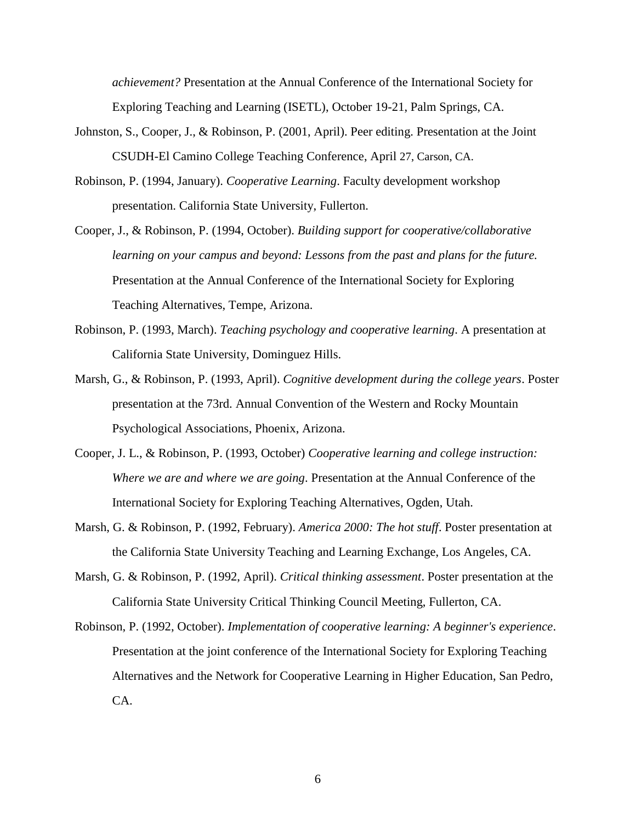*achievement?* Presentation at the Annual Conference of the International Society for Exploring Teaching and Learning (ISETL), October 19-21, Palm Springs, CA.

- Johnston, S., Cooper, J., & Robinson, P. (2001, April). Peer editing. Presentation at the Joint CSUDH-El Camino College Teaching Conference, April 27, Carson, CA.
- Robinson, P. (1994, January). *Cooperative Learning*. Faculty development workshop presentation. California State University, Fullerton.
- Cooper, J., & Robinson, P. (1994, October). *Building support for cooperative/collaborative learning on your campus and beyond: Lessons from the past and plans for the future.* Presentation at the Annual Conference of the International Society for Exploring Teaching Alternatives, Tempe, Arizona.
- Robinson, P. (1993, March). *Teaching psychology and cooperative learning*. A presentation at California State University, Dominguez Hills.
- Marsh, G., & Robinson, P. (1993, April). *Cognitive development during the college years*. Poster presentation at the 73rd. Annual Convention of the Western and Rocky Mountain Psychological Associations, Phoenix, Arizona.
- Cooper, J. L., & Robinson, P. (1993, October) *Cooperative learning and college instruction: Where we are and where we are going*. Presentation at the Annual Conference of the International Society for Exploring Teaching Alternatives, Ogden, Utah.
- Marsh, G. & Robinson, P. (1992, February). *America 2000: The hot stuff*. Poster presentation at the California State University Teaching and Learning Exchange, Los Angeles, CA.
- Marsh, G. & Robinson, P. (1992, April). *Critical thinking assessment*. Poster presentation at the California State University Critical Thinking Council Meeting, Fullerton, CA.
- Robinson, P. (1992, October). *Implementation of cooperative learning: A beginner's experience*. Presentation at the joint conference of the International Society for Exploring Teaching Alternatives and the Network for Cooperative Learning in Higher Education, San Pedro, CA.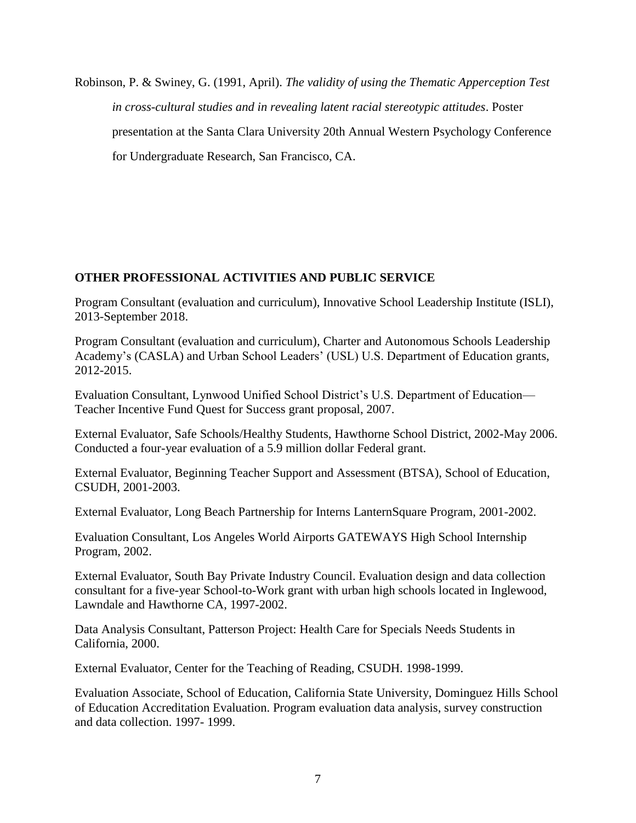Robinson, P. & Swiney, G. (1991, April). *The validity of using the Thematic Apperception Test in cross-cultural studies and in revealing latent racial stereotypic attitudes*. Poster presentation at the Santa Clara University 20th Annual Western Psychology Conference for Undergraduate Research, San Francisco, CA.

# **OTHER PROFESSIONAL ACTIVITIES AND PUBLIC SERVICE**

Program Consultant (evaluation and curriculum), Innovative School Leadership Institute (ISLI), 2013-September 2018.

Program Consultant (evaluation and curriculum), Charter and Autonomous Schools Leadership Academy's (CASLA) and Urban School Leaders' (USL) U.S. Department of Education grants, 2012-2015.

Evaluation Consultant, Lynwood Unified School District's U.S. Department of Education— Teacher Incentive Fund Quest for Success grant proposal, 2007.

External Evaluator, Safe Schools/Healthy Students, Hawthorne School District, 2002-May 2006. Conducted a four-year evaluation of a 5.9 million dollar Federal grant.

External Evaluator, Beginning Teacher Support and Assessment (BTSA), School of Education, CSUDH, 2001-2003.

External Evaluator, Long Beach Partnership for Interns LanternSquare Program, 2001-2002.

Evaluation Consultant, Los Angeles World Airports GATEWAYS High School Internship Program, 2002.

External Evaluator, South Bay Private Industry Council. Evaluation design and data collection consultant for a five-year School-to-Work grant with urban high schools located in Inglewood, Lawndale and Hawthorne CA, 1997-2002.

Data Analysis Consultant, Patterson Project: Health Care for Specials Needs Students in California, 2000.

External Evaluator, Center for the Teaching of Reading, CSUDH. 1998-1999.

Evaluation Associate, School of Education, California State University, Dominguez Hills School of Education Accreditation Evaluation. Program evaluation data analysis, survey construction and data collection. 1997- 1999.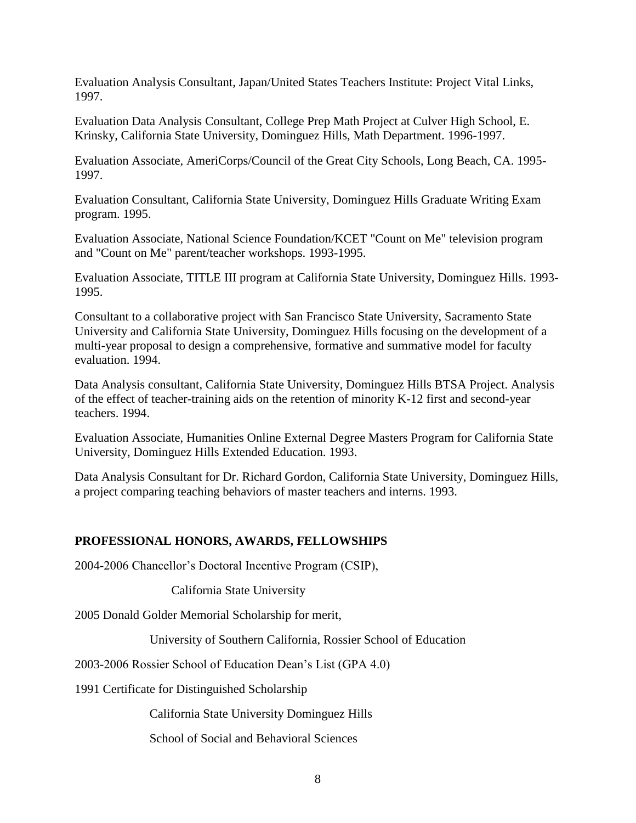Evaluation Analysis Consultant, Japan/United States Teachers Institute: Project Vital Links, 1997.

Evaluation Data Analysis Consultant, College Prep Math Project at Culver High School, E. Krinsky, California State University, Dominguez Hills, Math Department. 1996-1997.

Evaluation Associate, AmeriCorps/Council of the Great City Schools, Long Beach, CA. 1995- 1997.

Evaluation Consultant, California State University, Dominguez Hills Graduate Writing Exam program. 1995.

Evaluation Associate, National Science Foundation/KCET "Count on Me" television program and "Count on Me" parent/teacher workshops. 1993-1995.

Evaluation Associate, TITLE III program at California State University, Dominguez Hills. 1993- 1995.

Consultant to a collaborative project with San Francisco State University, Sacramento State University and California State University, Dominguez Hills focusing on the development of a multi-year proposal to design a comprehensive, formative and summative model for faculty evaluation. 1994.

Data Analysis consultant, California State University, Dominguez Hills BTSA Project. Analysis of the effect of teacher-training aids on the retention of minority K-12 first and second-year teachers. 1994.

Evaluation Associate, Humanities Online External Degree Masters Program for California State University, Dominguez Hills Extended Education. 1993.

Data Analysis Consultant for Dr. Richard Gordon, California State University, Dominguez Hills, a project comparing teaching behaviors of master teachers and interns. 1993.

# **PROFESSIONAL HONORS, AWARDS, FELLOWSHIPS**

2004-2006 Chancellor's Doctoral Incentive Program (CSIP),

California State University

2005 Donald Golder Memorial Scholarship for merit,

University of Southern California, Rossier School of Education

2003-2006 Rossier School of Education Dean's List (GPA 4.0)

1991 Certificate for Distinguished Scholarship

California State University Dominguez Hills

School of Social and Behavioral Sciences